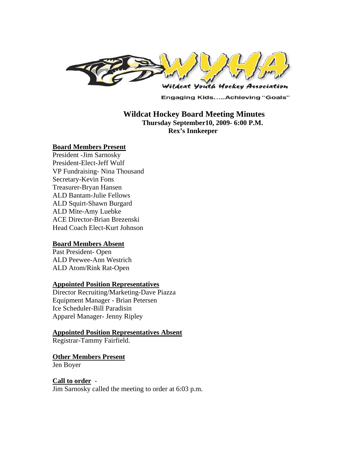

**Engaging Kids.....Achieving "Goals"** 

### **Wildcat Hockey Board Meeting Minutes Thursday September10, 2009- 6:00 P.M. Rex's Innkeeper**

#### **Board Members Present**

President -Jim Sarnosky President-Elect-Jeff Wulf VP Fundraising- Nina Thousand Secretary-Kevin Fons Treasurer-Bryan Hansen ALD Bantam-Julie Fellows ALD Squirt-Shawn Burgard ALD Mite-Amy Luebke ACE Director-Brian Brezenski Head Coach Elect-Kurt Johnson

#### **Board Members Absent**

Past President-Open ALD Peewee-Ann Westrich ALD Atom/Rink Rat-Open

#### **Appointed Position Representatives**

Director Recruiting/Marketing-Dave Piazza Equipment Manager - Brian Petersen Ice Scheduler-Bill Paradisin Apparel Manager- Jenny Ripley

# **Appointed Position Representatives Absent**

Registrar-Tammy Fairfield.

#### **Other Members Present**

Jen Boyer

# **Call to order** -

Jim Sarnosky called the meeting to order at 6:03 p.m.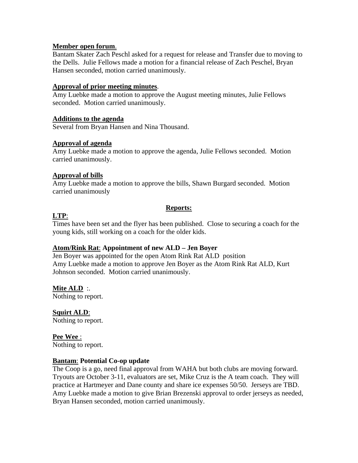### **Member open forum**.

Bantam Skater Zach Peschl asked for a request for release and Transfer due to moving to the Dells. Julie Fellows made a motion for a financial release of Zach Peschel, Bryan Hansen seconded, motion carried unanimously.

### **Approval of prior meeting minutes**.

Amy Luebke made a motion to approve the August meeting minutes, Julie Fellows seconded. Motion carried unanimously.

### **Additions to the agenda**

Several from Bryan Hansen and Nina Thousand.

### **Approval of agenda**

Amy Luebke made a motion to approve the agenda, Julie Fellows seconded. Motion carried unanimously.

### **Approval of bills**

Amy Luebke made a motion to approve the bills, Shawn Burgard seconded. Motion carried unanimously

### **Reports:**

# **LTP**:

Times have been set and the flyer has been published. Close to securing a coach for the young kids, still working on a coach for the older kids.

### **Atom/Rink Rat**: **Appointment of new ALD – Jen Boyer**

Jen Boyer was appointed for the open Atom Rink Rat ALD position Amy Luebke made a motion to approve Jen Boyer as the Atom Rink Rat ALD, Kurt Johnson seconded. Motion carried unanimously.

**Mite ALD** :. Nothing to report.

**Squirt ALD**: Nothing to report.

**Pee Wee** : Nothing to report.

### **Bantam**: **Potential Co-op update**

The Coop is a go, need final approval from WAHA but both clubs are moving forward. Tryouts are October 3-11, evaluators are set, Mike Cruz is the A team coach. They will practice at Hartmeyer and Dane county and share ice expenses 50/50. Jerseys are TBD. Amy Luebke made a motion to give Brian Brezenski approval to order jerseys as needed, Bryan Hansen seconded, motion carried unanimously.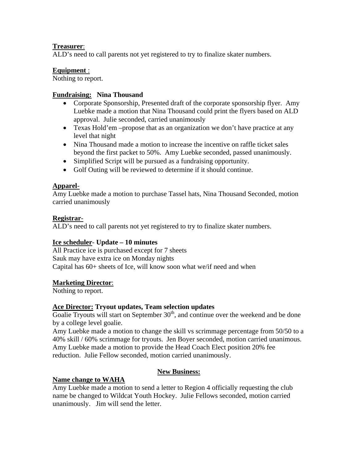# **Treasurer**:

ALD's need to call parents not yet registered to try to finalize skater numbers.

# **Equipment** :

Nothing to report.

# **Fundraising: Nina Thousand**

- Corporate Sponsorship, Presented draft of the corporate sponsorship flyer. Amy Luebke made a motion that Nina Thousand could print the flyers based on ALD approval. Julie seconded, carried unanimously
- Texas Hold'em –propose that as an organization we don't have practice at any level that night
- Nina Thousand made a motion to increase the incentive on raffle ticket sales beyond the first packet to 50%. Amy Luebke seconded, passed unanimously.
- Simplified Script will be pursued as a fundraising opportunity.
- Golf Outing will be reviewed to determine if it should continue.

# **Apparel**-

Amy Luebke made a motion to purchase Tassel hats, Nina Thousand Seconded, motion carried unanimously

# **Registrar**-

ALD's need to call parents not yet registered to try to finalize skater numbers.

# **Ice scheduler**- **Update – 10 minutes**

All Practice ice is purchased except for 7 sheets Sauk may have extra ice on Monday nights Capital has 60+ sheets of Ice, will know soon what we/if need and when

# **Marketing Director**:

Nothing to report.

# **Ace Director: Tryout updates, Team selection updates**

Goalie Tryouts will start on September  $30<sup>th</sup>$ , and continue over the weekend and be done by a college level goalie.

Amy Luebke made a motion to change the skill vs scrimmage percentage from 50/50 to a 40% skill / 60% scrimmage for tryouts. Jen Boyer seconded, motion carried unanimous. Amy Luebke made a motion to provide the Head Coach Elect position 20% fee reduction. Julie Fellow seconded, motion carried unanimously.

# **New Business:**

# **Name change to WAHA**

Amy Luebke made a motion to send a letter to Region 4 officially requesting the club name be changed to Wildcat Youth Hockey. Julie Fellows seconded, motion carried unanimously. Jim will send the letter.